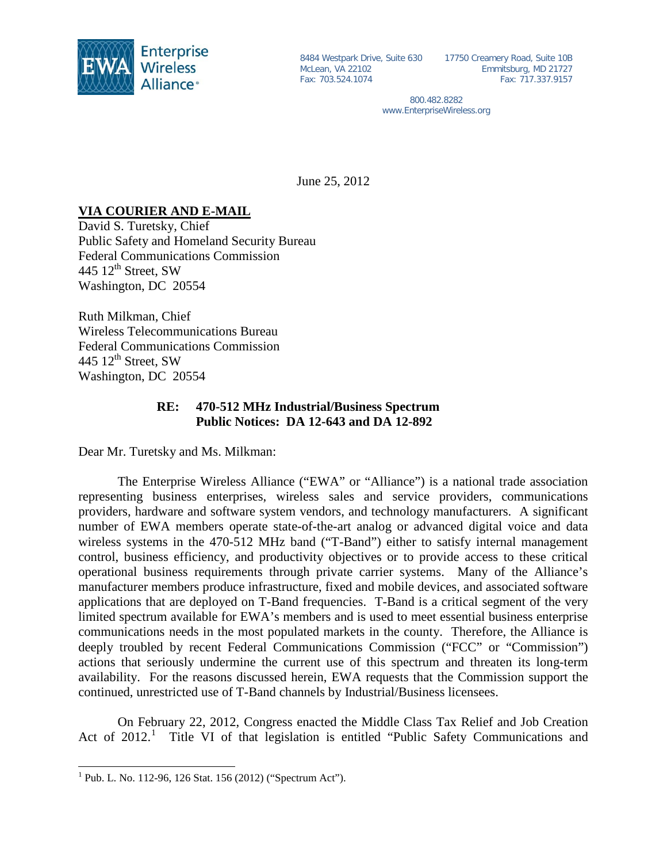

McLean, VA 22102 Fax: 703.524.1074

8484 Westpark Drive, Suite 630 17750 Creamery Road, Suite 10B Emmitsburg, MD 21727 Fax: 717.337.9157

> 800.482.8282 www.EnterpriseWireless.org

June 25, 2012

## **VIA COURIER AND E-MAIL**

David S. Turetsky, Chief Public Safety and Homeland Security Bureau Federal Communications Commission 445  $12<sup>th</sup>$  Street, SW Washington, DC 20554

Ruth Milkman, Chief Wireless Telecommunications Bureau Federal Communications Commission 445  $12<sup>th</sup>$  Street, SW Washington, DC 20554

## **RE: 470-512 MHz Industrial/Business Spectrum Public Notices: DA 12-643 and DA 12-892**

Dear Mr. Turetsky and Ms. Milkman:

The Enterprise Wireless Alliance ("EWA" or "Alliance") is a national trade association representing business enterprises, wireless sales and service providers, communications providers, hardware and software system vendors, and technology manufacturers. A significant number of EWA members operate state-of-the-art analog or advanced digital voice and data wireless systems in the 470-512 MHz band ("T-Band") either to satisfy internal management control, business efficiency, and productivity objectives or to provide access to these critical operational business requirements through private carrier systems. Many of the Alliance's manufacturer members produce infrastructure, fixed and mobile devices, and associated software applications that are deployed on T-Band frequencies. T-Band is a critical segment of the very limited spectrum available for EWA's members and is used to meet essential business enterprise communications needs in the most populated markets in the county. Therefore, the Alliance is deeply troubled by recent Federal Communications Commission ("FCC" or "Commission") actions that seriously undermine the current use of this spectrum and threaten its long-term availability. For the reasons discussed herein, EWA requests that the Commission support the continued, unrestricted use of T-Band channels by Industrial/Business licensees.

On February 22, 2012, Congress enacted the Middle Class Tax Relief and Job Creation Act of 20[1](#page-0-0)2.<sup>1</sup> Title VI of that legislation is entitled "Public Safety Communications and

<span id="page-0-0"></span> <sup>1</sup> Pub. L. No. 112-96, 126 Stat. 156 (2012) ("Spectrum Act").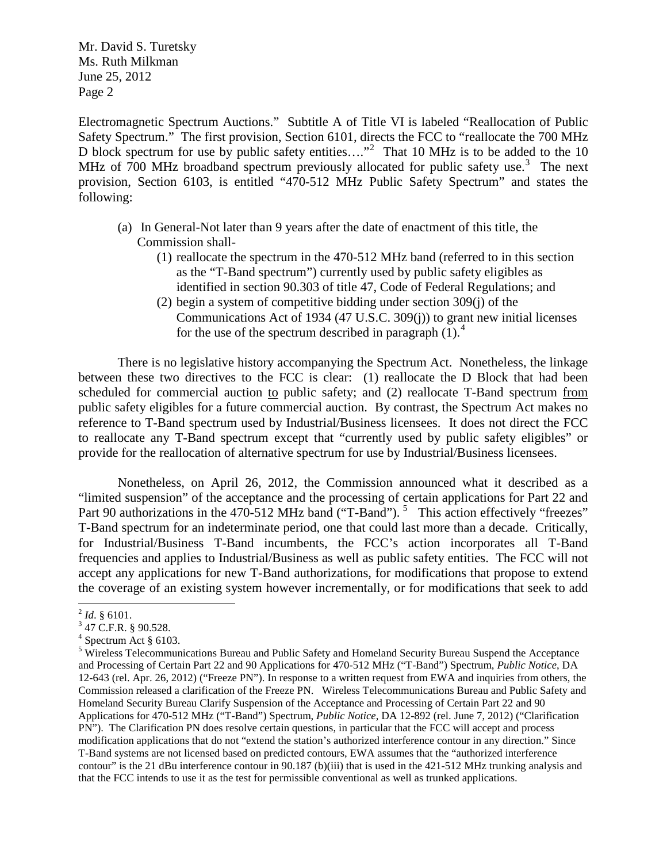Electromagnetic Spectrum Auctions." Subtitle A of Title VI is labeled "Reallocation of Public Safety Spectrum." The first provision, Section 6101, directs the FCC to "reallocate the 700 MHz D block spectrum for use by public safety entities...."<sup>[2](#page-1-0)</sup> That 10 MHz is to be added to the 10 MHz of 700 MHz broadband spectrum previously allocated for public safety use.<sup>[3](#page-1-1)</sup> The next provision, Section 6103, is entitled "470-512 MHz Public Safety Spectrum" and states the following:

- (a) In General-Not later than 9 years after the date of enactment of this title, the Commission shall-
	- (1) reallocate the spectrum in the 470-512 MHz band (referred to in this section as the "T-Band spectrum") currently used by public safety eligibles as identified in section 90.303 of title 47, Code of Federal Regulations; and
	- (2) begin a system of competitive bidding under section 309(j) of the Communications Act of 1934 (47 U.S.C. 309(j)) to grant new initial licenses for the use of the spectrum described in paragraph  $(1)$ .<sup>[4](#page-1-2)</sup>

There is no legislative history accompanying the Spectrum Act. Nonetheless, the linkage between these two directives to the FCC is clear: (1) reallocate the D Block that had been scheduled for commercial auction to public safety; and (2) reallocate T-Band spectrum from public safety eligibles for a future commercial auction. By contrast, the Spectrum Act makes no reference to T-Band spectrum used by Industrial/Business licensees. It does not direct the FCC to reallocate any T-Band spectrum except that "currently used by public safety eligibles" or provide for the reallocation of alternative spectrum for use by Industrial/Business licensees.

Nonetheless, on April 26, 2012, the Commission announced what it described as a "limited suspension" of the acceptance and the processing of certain applications for Part 22 and Part 90 authorizations in the 470-[5](#page-1-3)12 MHz band ("T-Band").<sup>5</sup> This action effectively "freezes" T-Band spectrum for an indeterminate period, one that could last more than a decade. Critically, for Industrial/Business T-Band incumbents, the FCC's action incorporates all T-Band frequencies and applies to Industrial/Business as well as public safety entities. The FCC will not accept any applications for new T-Band authorizations, for modifications that propose to extend the coverage of an existing system however incrementally, or for modifications that seek to add

<span id="page-1-0"></span> $^2$  *Id.* § 6101.<br><sup>3</sup> 47 C.F.R. § 90.528.

<span id="page-1-2"></span><span id="page-1-1"></span> $<sup>4</sup>$  Spectrum Act § 6103.</sup>

<span id="page-1-3"></span><sup>5</sup> Wireless Telecommunications Bureau and Public Safety and Homeland Security Bureau Suspend the Acceptance and Processing of Certain Part 22 and 90 Applications for 470-512 MHz ("T-Band") Spectrum, *Public Notice*, DA 12-643 (rel. Apr. 26, 2012) ("Freeze PN"). In response to a written request from EWA and inquiries from others, the Commission released a clarification of the Freeze PN. Wireless Telecommunications Bureau and Public Safety and Homeland Security Bureau Clarify Suspension of the Acceptance and Processing of Certain Part 22 and 90 Applications for 470-512 MHz ("T-Band") Spectrum, *Public Notice*, DA 12-892 (rel. June 7, 2012) ("Clarification PN"). The Clarification PN does resolve certain questions, in particular that the FCC will accept and process modification applications that do not "extend the station's authorized interference contour in any direction." Since T-Band systems are not licensed based on predicted contours, EWA assumes that the "authorized interference contour" is the 21 dBu interference contour in 90.187 (b)(iii) that is used in the 421-512 MHz trunking analysis and that the FCC intends to use it as the test for permissible conventional as well as trunked applications.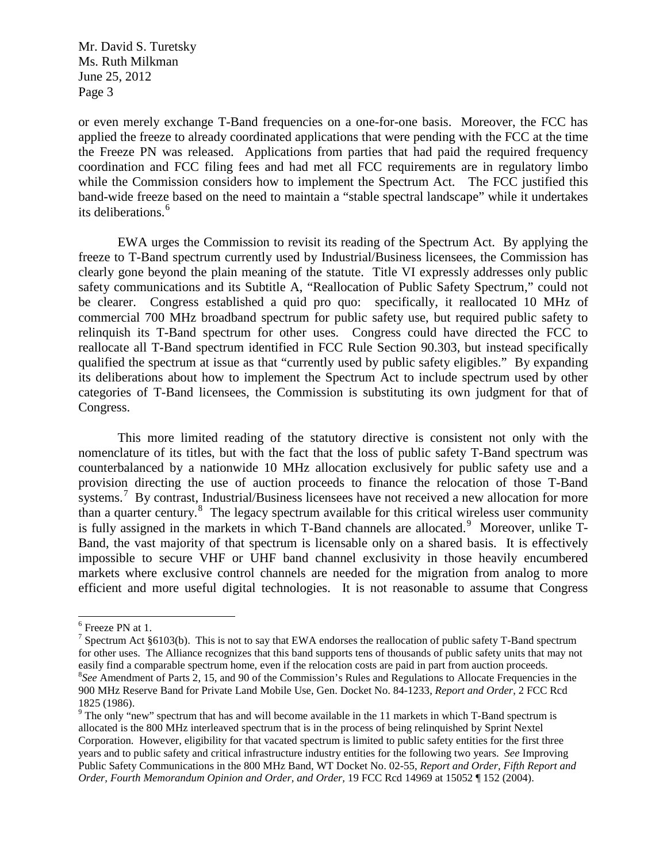or even merely exchange T-Band frequencies on a one-for-one basis. Moreover, the FCC has applied the freeze to already coordinated applications that were pending with the FCC at the time the Freeze PN was released. Applications from parties that had paid the required frequency coordination and FCC filing fees and had met all FCC requirements are in regulatory limbo while the Commission considers how to implement the Spectrum Act. The FCC justified this band-wide freeze based on the need to maintain a "stable spectral landscape" while it undertakes its deliberations.<sup>[6](#page-2-0)</sup>

EWA urges the Commission to revisit its reading of the Spectrum Act. By applying the freeze to T-Band spectrum currently used by Industrial/Business licensees, the Commission has clearly gone beyond the plain meaning of the statute. Title VI expressly addresses only public safety communications and its Subtitle A, "Reallocation of Public Safety Spectrum," could not be clearer. Congress established a quid pro quo: specifically, it reallocated 10 MHz of commercial 700 MHz broadband spectrum for public safety use, but required public safety to relinquish its T-Band spectrum for other uses. Congress could have directed the FCC to reallocate all T-Band spectrum identified in FCC Rule Section 90.303, but instead specifically qualified the spectrum at issue as that "currently used by public safety eligibles." By expanding its deliberations about how to implement the Spectrum Act to include spectrum used by other categories of T-Band licensees, the Commission is substituting its own judgment for that of Congress.

This more limited reading of the statutory directive is consistent not only with the nomenclature of its titles, but with the fact that the loss of public safety T-Band spectrum was counterbalanced by a nationwide 10 MHz allocation exclusively for public safety use and a provision directing the use of auction proceeds to finance the relocation of those T-Band systems.<sup>[7](#page-2-1)</sup> By contrast, Industrial/Business licensees have not received a new allocation for more than a quarter century. $8$  The legacy spectrum available for this critical wireless user community is fully assigned in the markets in which T-Band channels are allocated.<sup>[9](#page-2-3)</sup> Moreover, unlike T-Band, the vast majority of that spectrum is licensable only on a shared basis. It is effectively impossible to secure VHF or UHF band channel exclusivity in those heavily encumbered markets where exclusive control channels are needed for the migration from analog to more efficient and more useful digital technologies. It is not reasonable to assume that Congress

<span id="page-2-0"></span> <sup>6</sup> Freeze PN at 1.

<span id="page-2-1"></span><sup>&</sup>lt;sup>7</sup> Spectrum Act §6103(b). This is not to say that EWA endorses the reallocation of public safety T-Band spectrum for other uses. The Alliance recognizes that this band supports tens of thousands of public safety units that may not easily find a comparable spectrum home, even if the relocation costs are paid in part from auction proceeds. *See* Amendment of Parts 2, 15, and 90 of the Commission's Rules and Regulations to Allocate Frequencies in the 900 MHz Reserve Band for Private Land Mobile Use, Gen. Docket No. 84-1233, *Report and Order*, 2 FCC Rcd 1825 (1986).

<span id="page-2-3"></span><span id="page-2-2"></span><sup>&</sup>lt;sup>9</sup> The only "new" spectrum that has and will become available in the 11 markets in which T-Band spectrum is allocated is the 800 MHz interleaved spectrum that is in the process of being relinquished by Sprint Nextel Corporation. However, eligibility for that vacated spectrum is limited to public safety entities for the first three years and to public safety and critical infrastructure industry entities for the following two years. *See* Improving Public Safety Communications in the 800 MHz Band, WT Docket No. 02-55, *Report and Order, Fifth Report and Order, Fourth Memorandum Opinion and Order, and Order,* 19 FCC Rcd 14969 at 15052 ¶ 152 (2004).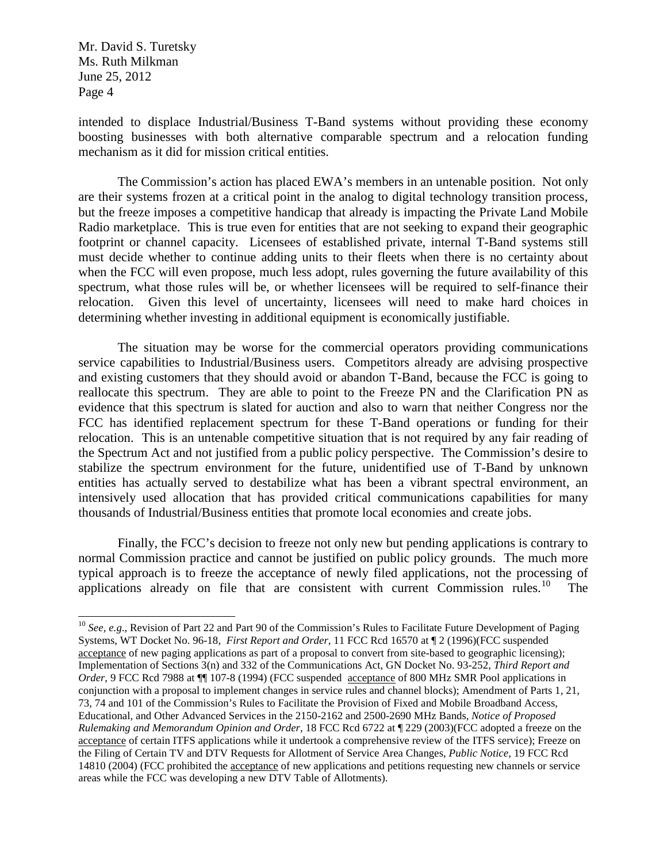intended to displace Industrial/Business T-Band systems without providing these economy boosting businesses with both alternative comparable spectrum and a relocation funding mechanism as it did for mission critical entities.

The Commission's action has placed EWA's members in an untenable position. Not only are their systems frozen at a critical point in the analog to digital technology transition process, but the freeze imposes a competitive handicap that already is impacting the Private Land Mobile Radio marketplace. This is true even for entities that are not seeking to expand their geographic footprint or channel capacity. Licensees of established private, internal T-Band systems still must decide whether to continue adding units to their fleets when there is no certainty about when the FCC will even propose, much less adopt, rules governing the future availability of this spectrum, what those rules will be, or whether licensees will be required to self-finance their relocation. Given this level of uncertainty, licensees will need to make hard choices in determining whether investing in additional equipment is economically justifiable.

The situation may be worse for the commercial operators providing communications service capabilities to Industrial/Business users. Competitors already are advising prospective and existing customers that they should avoid or abandon T-Band, because the FCC is going to reallocate this spectrum. They are able to point to the Freeze PN and the Clarification PN as evidence that this spectrum is slated for auction and also to warn that neither Congress nor the FCC has identified replacement spectrum for these T-Band operations or funding for their relocation. This is an untenable competitive situation that is not required by any fair reading of the Spectrum Act and not justified from a public policy perspective. The Commission's desire to stabilize the spectrum environment for the future, unidentified use of T-Band by unknown entities has actually served to destabilize what has been a vibrant spectral environment, an intensively used allocation that has provided critical communications capabilities for many thousands of Industrial/Business entities that promote local economies and create jobs.

Finally, the FCC's decision to freeze not only new but pending applications is contrary to normal Commission practice and cannot be justified on public policy grounds. The much more typical approach is to freeze the acceptance of newly filed applications, not the processing of applications already on file that are consistent with current Commission rules.<sup>[10](#page-3-0)</sup> The

<span id="page-3-0"></span><sup>&</sup>lt;sup>10</sup> *See, e.g.*, Revision of Part 22 and Part 90 of the Commission's Rules to Facilitate Future Development of Paging Systems, WT Docket No. 96-18, *First Report and Order*, 11 FCC Rcd 16570 at ¶ 2 (1996)(FCC suspended acceptance of new paging applications as part of a proposal to convert from site-based to geographic licensing); Implementation of Sections 3(n) and 332 of the Communications Act*,* GN Docket No. 93-252, *Third Report and Order*, 9 FCC Rcd 7988 at ¶¶ 107-8 (1994) (FCC suspended acceptance of 800 MHz SMR Pool applications in conjunction with a proposal to implement changes in service rules and channel blocks); Amendment of Parts 1, 21, 73, 74 and 101 of the Commission's Rules to Facilitate the Provision of Fixed and Mobile Broadband Access, Educational, and Other Advanced Services in the 2150-2162 and 2500-2690 MHz Bands, *Notice of Proposed Rulemaking and Memorandum Opinion and Order*, 18 FCC Rcd 6722 at ¶ 229 (2003)(FCC adopted a freeze on the acceptance of certain ITFS applications while it undertook a comprehensive review of the ITFS service); Freeze on the Filing of Certain TV and DTV Requests for Allotment of Service Area Changes, *Public Notice*, 19 FCC Rcd 14810 (2004) (FCC prohibited the acceptance of new applications and petitions requesting new channels or service areas while the FCC was developing a new DTV Table of Allotments).